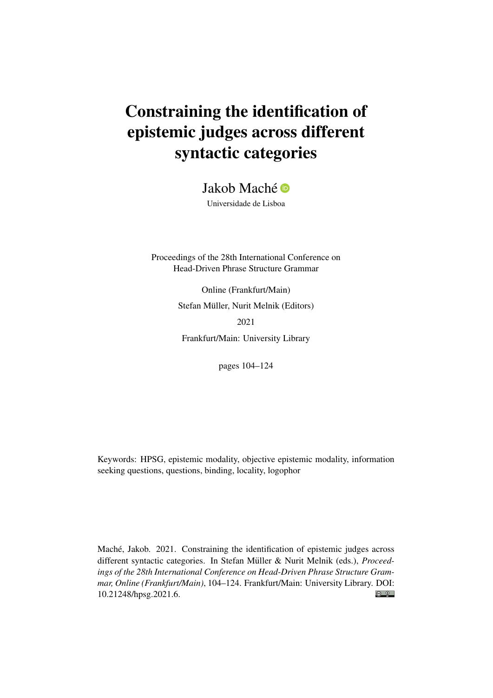# Constraining the identification of epistemic judges across different syntactic categories

Jakob Maché<sup>®</sup>

Universidade de Lisboa

Proceedings of the 28th International Conference on Head-Driven Phrase Structure Grammar

> Online (Frankfurt/Main) Stefan Müller, Nurit Melnik (Editors) 2021 Frankfurt/Main: University Library

> > pages 104–124

Keywords: HPSG, epistemic modality, objective epistemic modality, information seeking questions, questions, binding, locality, logophor

Maché, Jakob. 2021. Constraining the identification of epistemic judges across different syntactic categories. In Stefan Müller & Nurit Melnik (eds.), *Proceedings of the 28th International Conference on Head-Driven Phrase Structure Grammar, Online (Frankfurt/Main)*, 104–124. Frankfurt/Main: University Library. DOI:  $\odot$   $\odot$ [10.21248/hpsg.2021.6.](http://doi.org/10.21248/hpsg.2021.6)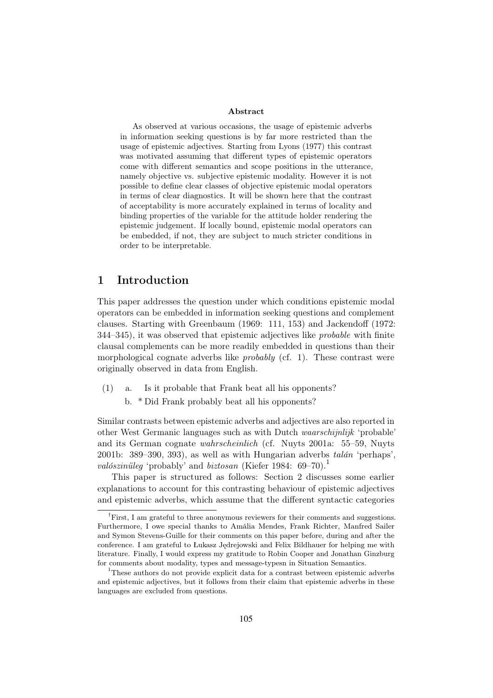#### Abstract

As observed at various occasions, the usage of epistemic adverbs in information seeking questions is by far more restricted than the usage of epistemic adjectives. Starting from Lyons (1977) this contrast was motivated assuming that different types of epistemic operators come with different semantics and scope positions in the utterance, namely objective vs. subjective epistemic modality. However it is not possible to define clear classes of objective epistemic modal operators in terms of clear diagnostics. It will be shown here that the contrast of acceptability is more accurately explained in terms of locality and binding properties of the variable for the attitude holder rendering the epistemic judgement. If locally bound, epistemic modal operators can be embedded, if not, they are subject to much stricter conditions in order to be interpretable.

## 1 Introduction

This paper addresses the question under which conditions epistemic modal operators can be embedded in information seeking questions and complement clauses. Starting with Greenbaum (1969: 111, 153) and Jackendoff (1972: 344–345), it was observed that epistemic adjectives like probable with finite clausal complements can be more readily embedded in questions than their morphological cognate adverbs like probably (cf. 1). These contrast were originally observed in data from English.

- (1) a. Is it probable that Frank beat all his opponents?
	- b. \* Did Frank probably beat all his opponents?

Similar contrasts between epistemic adverbs and adjectives are also reported in other West Germanic languages such as with Dutch waarschijnlijk 'probable' and its German cognate wahrscheinlich (cf. Nuyts 2001a: 55–59, Nuyts 2001b: 389–390, 393), as well as with Hungarian adverbs talán 'perhaps', valószinüleg 'probably' and biztosan (Kiefer 1984: 69–70).<sup>1</sup>

This paper is structured as follows: Section 2 discusses some earlier explanations to account for this contrasting behaviour of epistemic adjectives and epistemic adverbs, which assume that the different syntactic categories

<sup>&</sup>lt;sup>†</sup>First, I am grateful to three anonymous reviewers for their comments and suggestions. Furthermore, I owe special thanks to Amália Mendes, Frank Richter, Manfred Sailer and Symon Stevens-Guille for their comments on this paper before, during and after the conference. I am grateful to Łukasz Jedrejowski and Felix Bildhauer for helping me with literature. Finally, I would express my gratitude to Robin Cooper and Jonathan Ginzburg for comments about modality, types and message-typesn in Situation Semantics.

<sup>&</sup>lt;sup>1</sup>These authors do not provide explicit data for a contrast between epistemic adverbs and epistemic adjectives, but it follows from their claim that epistemic adverbs in these languages are excluded from questions.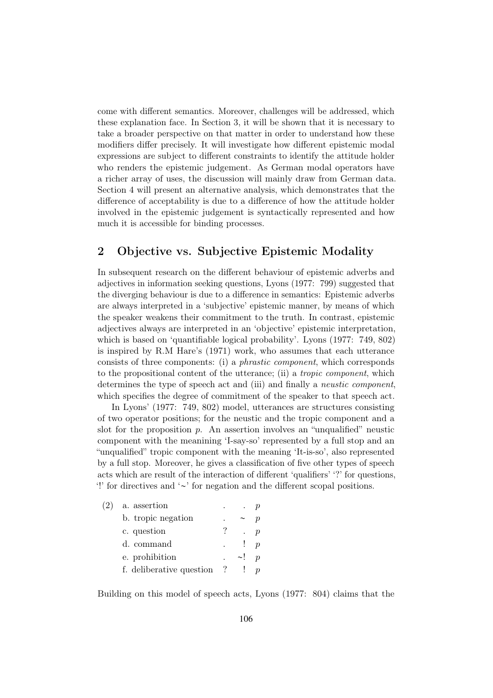come with different semantics. Moreover, challenges will be addressed, which these explanation face. In Section 3, it will be shown that it is necessary to take a broader perspective on that matter in order to understand how these modifiers differ precisely. It will investigate how different epistemic modal expressions are subject to different constraints to identify the attitude holder who renders the epistemic judgement. As German modal operators have a richer array of uses, the discussion will mainly draw from German data. Section 4 will present an alternative analysis, which demonstrates that the difference of acceptability is due to a difference of how the attitude holder involved in the epistemic judgement is syntactically represented and how much it is accessible for binding processes.

## 2 Objective vs. Subjective Epistemic Modality

In subsequent research on the different behaviour of epistemic adverbs and adjectives in information seeking questions, Lyons (1977: 799) suggested that the diverging behaviour is due to a difference in semantics: Epistemic adverbs are always interpreted in a 'subjective' epistemic manner, by means of which the speaker weakens their commitment to the truth. In contrast, epistemic adjectives always are interpreted in an 'objective' epistemic interpretation, which is based on 'quantifiable logical probability'. Lyons (1977: 749, 802) is inspired by R.M Hare's (1971) work, who assumes that each utterance consists of three components: (i) a phrastic component, which corresponds to the propositional content of the utterance; (ii) a tropic component, which determines the type of speech act and (iii) and finally a *neustic component*, which specifies the degree of commitment of the speaker to that speech act.

In Lyons' (1977: 749, 802) model, utterances are structures consisting of two operator positions; for the neustic and the tropic component and a slot for the proposition  $p$ . An assertion involves an "unqualified" neustic component with the meanining 'I-say-so' represented by a full stop and an "unqualified" tropic component with the meaning 'It-is-so', also represented by a full stop. Moreover, he gives a classification of five other types of speech acts which are result of the interaction of different 'qualifiers' '?' for questions, '!' for directives and '∼' for negation and the different scopal positions.

| $\bullet$                  |          |                  |
|----------------------------|----------|------------------|
| 7                          |          | $\boldsymbol{p}$ |
|                            | л.       |                  |
|                            | $\sim$ ! |                  |
| f. deliberative question ? |          |                  |
|                            |          |                  |

Building on this model of speech acts, Lyons (1977: 804) claims that the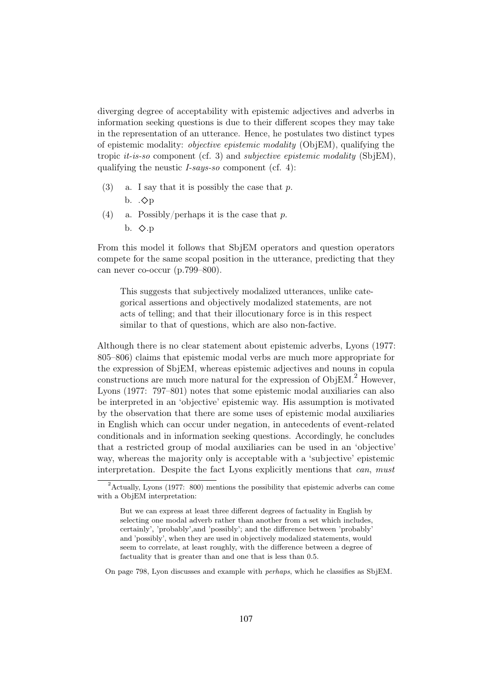diverging degree of acceptability with epistemic adjectives and adverbs in information seeking questions is due to their different scopes they may take in the representation of an utterance. Hence, he postulates two distinct types of epistemic modality: objective epistemic modality (ObjEM), qualifying the tropic it-is-so component (cf. 3) and subjective epistemic modality (SbjEM), qualifying the neustic I-says-so component (cf. 4):

- (3) a. I say that it is possibly the case that p. b.  $\therefore$   $\Diamond p$
- (4) a. Possibly/perhaps it is the case that p. b. ◇.p

From this model it follows that SbjEM operators and question operators compete for the same scopal position in the utterance, predicting that they can never co-occur (p.799–800).

This suggests that subjectively modalized utterances, unlike categorical assertions and objectively modalized statements, are not acts of telling; and that their illocutionary force is in this respect similar to that of questions, which are also non-factive.

Although there is no clear statement about epistemic adverbs, Lyons (1977: 805–806) claims that epistemic modal verbs are much more appropriate for the expression of SbjEM, whereas epistemic adjectives and nouns in copula constructions are much more natural for the expression of  $\mathrm{ObjEM.}^2$  However, Lyons (1977: 797–801) notes that some epistemic modal auxiliaries can also be interpreted in an 'objective' epistemic way. His assumption is motivated by the observation that there are some uses of epistemic modal auxiliaries in English which can occur under negation, in antecedents of event-related conditionals and in information seeking questions. Accordingly, he concludes that a restricted group of modal auxiliaries can be used in an 'objective' way, whereas the majority only is acceptable with a 'subjective' epistemic interpretation. Despite the fact Lyons explicitly mentions that *can*, *must* 

On page 798, Lyon discusses and example with perhaps, which he classifies as SbjEM.

 $^{2}$ Actually, Lyons (1977: 800) mentions the possibility that epistemic adverbs can come with a ObjEM interpretation:

But we can express at least three different degrees of factuality in English by selecting one modal adverb rather than another from a set which includes, certainly', 'probably',and 'possibly'; and the difference between 'probably' and 'possibly', when they are used in objectively modalized statements, would seem to correlate, at least roughly, with the difference between a degree of factuality that is greater than and one that is less than 0.5.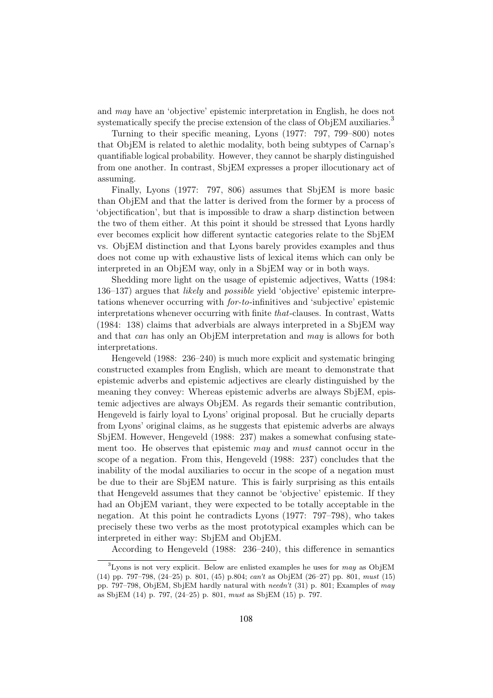and may have an 'objective' epistemic interpretation in English, he does not systematically specify the precise extension of the class of ObjEM auxiliaries.<sup>3</sup>

Turning to their specific meaning, Lyons (1977: 797, 799–800) notes that ObjEM is related to alethic modality, both being subtypes of Carnap's quantifiable logical probability. However, they cannot be sharply distinguished from one another. In contrast, SbjEM expresses a proper illocutionary act of assuming.

Finally, Lyons (1977: 797, 806) assumes that SbjEM is more basic than ObjEM and that the latter is derived from the former by a process of 'objectification', but that is impossible to draw a sharp distinction between the two of them either. At this point it should be stressed that Lyons hardly ever becomes explicit how different syntactic categories relate to the SbjEM vs. ObjEM distinction and that Lyons barely provides examples and thus does not come up with exhaustive lists of lexical items which can only be interpreted in an ObjEM way, only in a SbjEM way or in both ways.

Shedding more light on the usage of epistemic adjectives, Watts (1984: 136–137) argues that likely and possible yield 'objective' epistemic interpretations whenever occurring with for-to-infinitives and 'subjective' epistemic interpretations whenever occurring with finite that-clauses. In contrast, Watts (1984: 138) claims that adverbials are always interpreted in a SbjEM way and that can has only an ObjEM interpretation and may is allows for both interpretations.

Hengeveld (1988: 236–240) is much more explicit and systematic bringing constructed examples from English, which are meant to demonstrate that epistemic adverbs and epistemic adjectives are clearly distinguished by the meaning they convey: Whereas epistemic adverbs are always SbjEM, epistemic adjectives are always ObjEM. As regards their semantic contribution, Hengeveld is fairly loyal to Lyons' original proposal. But he crucially departs from Lyons' original claims, as he suggests that epistemic adverbs are always SbjEM. However, Hengeveld (1988: 237) makes a somewhat confusing statement too. He observes that epistemic may and must cannot occur in the scope of a negation. From this, Hengeveld (1988: 237) concludes that the inability of the modal auxiliaries to occur in the scope of a negation must be due to their are SbjEM nature. This is fairly surprising as this entails that Hengeveld assumes that they cannot be 'objective' epistemic. If they had an ObjEM variant, they were expected to be totally acceptable in the negation. At this point he contradicts Lyons (1977: 797–798), who takes precisely these two verbs as the most prototypical examples which can be interpreted in either way: SbjEM and ObjEM.

According to Hengeveld (1988: 236–240), this difference in semantics

 ${}^{3}$ Lyons is not very explicit. Below are enlisted examples he uses for *may* as ObjEM (14) pp. 797–798, (24–25) p. 801, (45) p.804; can't as ObjEM (26–27) pp. 801, must (15) pp. 797–798, ObjEM, SbjEM hardly natural with  $need n't$  (31) p. 801; Examples of may as SbjEM (14) p. 797, (24–25) p. 801, must as SbjEM (15) p. 797.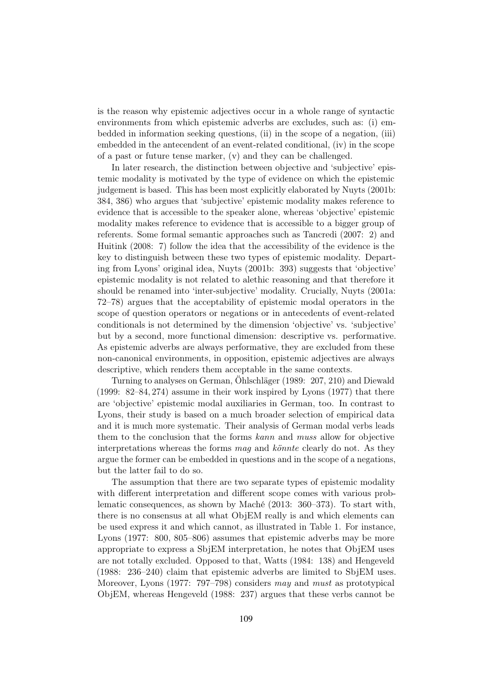is the reason why epistemic adjectives occur in a whole range of syntactic environments from which epistemic adverbs are excludes, such as: (i) embedded in information seeking questions, (ii) in the scope of a negation, (iii) embedded in the antecendent of an event-related conditional, (iv) in the scope of a past or future tense marker, (v) and they can be challenged.

In later research, the distinction between objective and 'subjective' epistemic modality is motivated by the type of evidence on which the epistemic judgement is based. This has been most explicitly elaborated by Nuyts (2001b: 384, 386) who argues that 'subjective' epistemic modality makes reference to evidence that is accessible to the speaker alone, whereas 'objective' epistemic modality makes reference to evidence that is accessible to a bigger group of referents. Some formal semantic approaches such as Tancredi (2007: 2) and Huitink (2008: 7) follow the idea that the accessibility of the evidence is the key to distinguish between these two types of epistemic modality. Departing from Lyons' original idea, Nuyts (2001b: 393) suggests that 'objective' epistemic modality is not related to alethic reasoning and that therefore it should be renamed into 'inter-subjective' modality. Crucially, Nuyts (2001a: 72–78) argues that the acceptability of epistemic modal operators in the scope of question operators or negations or in antecedents of event-related conditionals is not determined by the dimension 'objective' vs. 'subjective' but by a second, more functional dimension: descriptive vs. performative. As epistemic adverbs are always performative, they are excluded from these non-canonical environments, in opposition, epistemic adjectives are always descriptive, which renders them acceptable in the same contexts.

Turning to analyses on German, Öhlschläger (1989: 207, 210) and Diewald (1999: 82–84, 274) assume in their work inspired by Lyons (1977) that there are 'objective' epistemic modal auxiliaries in German, too. In contrast to Lyons, their study is based on a much broader selection of empirical data and it is much more systematic. Their analysis of German modal verbs leads them to the conclusion that the forms kann and muss allow for objective interpretations whereas the forms mag and könnte clearly do not. As they argue the former can be embedded in questions and in the scope of a negations, but the latter fail to do so.

The assumption that there are two separate types of epistemic modality with different interpretation and different scope comes with various problematic consequences, as shown by Maché (2013: 360–373). To start with, there is no consensus at all what ObjEM really is and which elements can be used express it and which cannot, as illustrated in Table 1. For instance, Lyons (1977: 800, 805–806) assumes that epistemic adverbs may be more appropriate to express a SbjEM interpretation, he notes that ObjEM uses are not totally excluded. Opposed to that, Watts (1984: 138) and Hengeveld (1988: 236–240) claim that epistemic adverbs are limited to SbjEM uses. Moreover, Lyons (1977: 797–798) considers may and must as prototypical ObjEM, whereas Hengeveld (1988: 237) argues that these verbs cannot be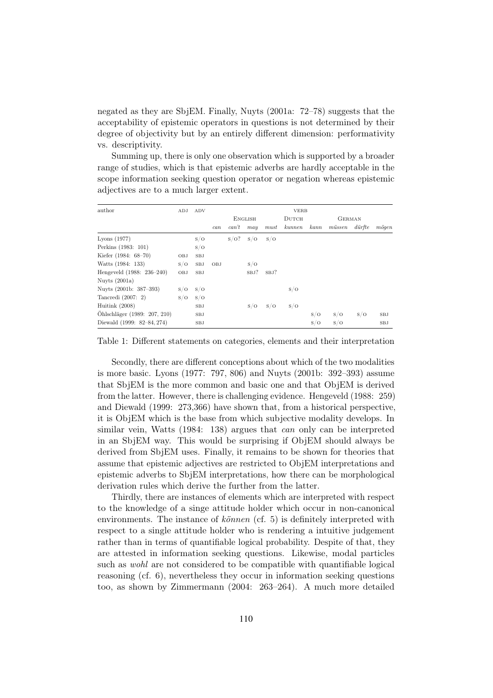negated as they are SbjEM. Finally, Nuyts (2001a: 72–78) suggests that the acceptability of epistemic operators in questions is not determined by their degree of objectivity but by an entirely different dimension: performativity vs. descriptivity.

Summing up, there is only one observation which is supported by a broader range of studies, which is that epistemic adverbs are hardly acceptable in the scope information seeking question operator or negation whereas epistemic adjectives are to a much larger extent.

| author                       | ADJ        | ADV        | <b>VERB</b>    |       |      |         |        |               |                 |            |                |
|------------------------------|------------|------------|----------------|-------|------|---------|--------|---------------|-----------------|------------|----------------|
|                              |            |            | <b>ENGLISH</b> |       |      | DUTCH   |        | <b>GERMAN</b> |                 |            |                |
|                              |            |            | can            | can't | may  | must    | kunnen | kann          | $m\ddot{u}ssen$ | $\ddot{a}$ | $m\ddot{o}gen$ |
| Lyons $(1977)$               |            | S/O        |                | S/O?  | S/O  | S/O     |        |               |                 |            |                |
| Perkins (1983: 101)          |            | S/O        |                |       |      |         |        |               |                 |            |                |
| Kiefer (1984: $68-70$ )      | <b>OBJ</b> | SBJ        |                |       |      |         |        |               |                 |            |                |
| Watts (1984: 133)            | S/O        | SBJ        | OBJ            |       | S/O  |         |        |               |                 |            |                |
| Hengeveld (1988: 236-240)    | OBJ        | SBJ        |                |       | SBJ? | $SBJ$ ? |        |               |                 |            |                |
| Nuyts $(2001a)$              |            |            |                |       |      |         |        |               |                 |            |                |
| Nuyts (2001b: 387-393)       | S/O        | S/O        |                |       |      |         | S/O    |               |                 |            |                |
| Tancredi $(2007: 2)$         | S/O        | S/O        |                |       |      |         |        |               |                 |            |                |
| Huitink $(2008)$             |            | <b>SBJ</b> |                |       | S/O  | S/O     | S/O    |               |                 |            |                |
| Öhlschläger (1989: 207, 210) |            | <b>SBJ</b> |                |       |      |         |        | S/O           | S/O             | S/O        | <b>SBJ</b>     |
| Diewald (1999: 82-84, 274)   |            | <b>SBJ</b> |                |       |      |         |        | S/O           | S/O             |            | <b>SBJ</b>     |

Table 1: Different statements on categories, elements and their interpretation

Secondly, there are different conceptions about which of the two modalities is more basic. Lyons (1977: 797, 806) and Nuyts (2001b: 392–393) assume that SbjEM is the more common and basic one and that ObjEM is derived from the latter. However, there is challenging evidence. Hengeveld (1988: 259) and Diewald (1999: 273,366) have shown that, from a historical perspective, it is ObjEM which is the base from which subjective modality develops. In similar vein, Watts (1984: 138) argues that can only can be interpreted in an SbjEM way. This would be surprising if ObjEM should always be derived from SbjEM uses. Finally, it remains to be shown for theories that assume that epistemic adjectives are restricted to ObjEM interpretations and epistemic adverbs to SbjEM interpretations, how there can be morphological derivation rules which derive the further from the latter.

Thirdly, there are instances of elements which are interpreted with respect to the knowledge of a singe attitude holder which occur in non-canonical environments. The instance of können (cf. 5) is definitely interpreted with respect to a single attitude holder who is rendering a intuitive judgement rather than in terms of quantifiable logical probability. Despite of that, they are attested in information seeking questions. Likewise, modal particles such as wohl are not considered to be compatible with quantifiable logical reasoning (cf. 6), nevertheless they occur in information seeking questions too, as shown by Zimmermann (2004: 263–264). A much more detailed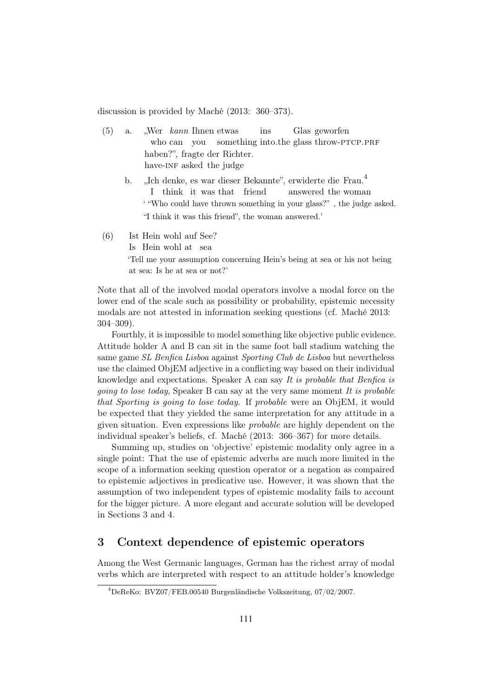discussion is provided by Maché (2013: 360–373).

- (5) a. "Wer kann Ihnen etwas who can you something into the glass throw-PTCP.PRF ins Glas geworfen haben?", fragte der Richter. have-INF asked the judge
	- b. "Ich denke, es war dieser Bekannte", erwiderte die Frau.<sup>4</sup> I think it was that friend answered the woman ' "Who could have thrown something in your glass?" , the judge asked. "I think it was this friend", the woman answered.'
- $(6)$ Is Hein wohl at sea Hein wohl auf See? 'Tell me your assumption concerning Hein's being at sea or his not being at sea: Is he at sea or not?'

Note that all of the involved modal operators involve a modal force on the lower end of the scale such as possibility or probability, epistemic necessity modals are not attested in information seeking questions (cf. Maché 2013: 304–309).

Fourthly, it is impossible to model something like objective public evidence. Attitude holder A and B can sit in the same foot ball stadium watching the same game SL Benfica Lisboa against Sporting Club de Lisboa but nevertheless use the claimed ObjEM adjective in a conflicting way based on their individual knowledge and expectations. Speaker A can say It is probable that Benfica is going to lose today, Speaker B can say at the very same moment It is probable that Sporting is going to lose today. If probable were an ObjEM, it would be expected that they yielded the same interpretation for any attitude in a given situation. Even expressions like probable are highly dependent on the individual speaker's beliefs, cf. Maché (2013: 366–367) for more details.

Summing up, studies on 'objective' epistemic modality only agree in a single point: That the use of epistemic adverbs are much more limited in the scope of a information seeking question operator or a negation as compaired to epistemic adjectives in predicative use. However, it was shown that the assumption of two independent types of epistemic modality fails to account for the bigger picture. A more elegant and accurate solution will be developed in Sections 3 and 4.

## 3 Context dependence of epistemic operators

Among the West Germanic languages, German has the richest array of modal verbs which are interpreted with respect to an attitude holder's knowledge

 $^4\rm{DeReKo:~BVZ07/FEB.00540~Burgenländische Volkszeitung, 07/02/2007.}$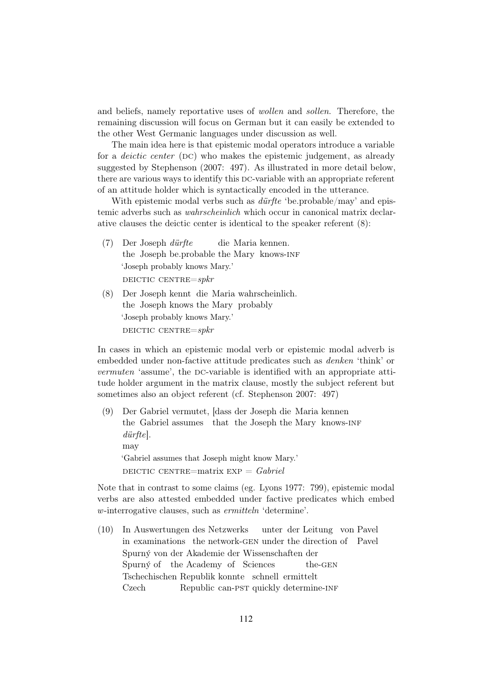and beliefs, namely reportative uses of wollen and sollen. Therefore, the remaining discussion will focus on German but it can easily be extended to the other West Germanic languages under discussion as well.

The main idea here is that epistemic modal operators introduce a variable for a *deictic center* (DC) who makes the epistemic judgement, as already suggested by Stephenson (2007: 497). As illustrated in more detail below, there are various ways to identify this DC-variable with an appropriate referent of an attitude holder which is syntactically encoded in the utterance.

With epistemic modal verbs such as  $\text{diffte}$  'be.probable/may' and epistemic adverbs such as wahrscheinlich which occur in canonical matrix declarative clauses the deictic center is identical to the speaker referent (8):

- (7) Der Joseph dürfte the Joseph be.probable the Mary knows-INF die Maria kennen. 'Joseph probably knows Mary.' DEICTIC CENTRE= $spkr$
- (8) Der Joseph kennt die Maria wahrscheinlich. the Joseph knows the Mary probably 'Joseph probably knows Mary.' DEICTIC CENTRE= $spkr$

In cases in which an epistemic modal verb or epistemic modal adverb is embedded under non-factive attitude predicates such as denken 'think' or  $vermuten$  'assume', the DC-variable is identified with an appropriate attitude holder argument in the matrix clause, mostly the subject referent but sometimes also an object referent (cf. Stephenson 2007: 497)

(9) Der Gabriel vermutet, [dass der Joseph die Maria kennen the Gabriel assumes that the Joseph the Mary knows-INF dürfte]. may 'Gabriel assumes that Joseph might know Mary.' DEICTIC CENTRE=matrix  $EXP = Gabriel$ 

Note that in contrast to some claims (eg. Lyons 1977: 799), epistemic modal verbs are also attested embedded under factive predicates which embed w-interrogative clauses, such as ermitteln 'determine'.

 $(10)$ in examinations the network-gen under the direction of Pavel Auswertungen des Netzwerks unter der Leitung von Pavel Spurný von der Akademie der Wissenschaften der Spurný of the Academy of Sciences the-gen Tschechischen Republik konnte schnell ermittelt Czech Republic can-PST quickly determine-INF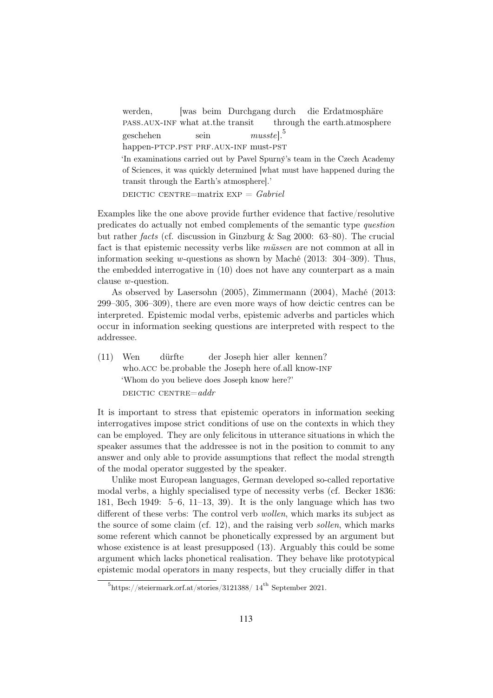werden, pass.aux-inf what at.the transit [was beim Durchgang durch through the earth.atmosphere die Erdatmosphäre geschehen happen-PTCP.PST PRF.AUX-INF must-PST sein musstel.<sup>5</sup> 'In examinations carried out by Pavel Spurný's team in the Czech Academy of Sciences, it was quickly determined [what must have happened during the transit through the Earth's atmosphere].' DEICTIC CENTRE=matrix  $EXP = Gabriel$ 

Examples like the one above provide further evidence that factive/resolutive predicates do actually not embed complements of the semantic type question but rather facts (cf. discussion in Ginzburg & Sag 2000:  $63-80$ ). The crucial fact is that epistemic necessity verbs like müssen are not common at all in information seeking w-questions as shown by Maché (2013: 304–309). Thus, the embedded interrogative in (10) does not have any counterpart as a main clause w-question.

As observed by Lasersohn (2005), Zimmermann (2004), Maché (2013: 299–305, 306–309), there are even more ways of how deictic centres can be interpreted. Epistemic modal verbs, epistemic adverbs and particles which occur in information seeking questions are interpreted with respect to the addressee.

(11) Wen who. ACC be. probable the Joseph here of all know-INF dürfte der Joseph hier aller kennen? 'Whom do you believe does Joseph know here?' DEICTIC CENTRE= $addr$ 

It is important to stress that epistemic operators in information seeking interrogatives impose strict conditions of use on the contexts in which they can be employed. They are only felicitous in utterance situations in which the speaker assumes that the addressee is not in the position to commit to any answer and only able to provide assumptions that reflect the modal strength of the modal operator suggested by the speaker.

Unlike most European languages, German developed so-called reportative modal verbs, a highly specialised type of necessity verbs (cf. Becker 1836: 181, Bech 1949: 5–6, 11–13, 39). It is the only language which has two different of these verbs: The control verb wollen, which marks its subject as the source of some claim (cf. 12), and the raising verb sollen, which marks some referent which cannot be phonetically expressed by an argument but whose existence is at least presupposed (13). Arguably this could be some argument which lacks phonetical realisation. They behave like prototypical epistemic modal operators in many respects, but they crucially differ in that

 $^{5}$ https://steiermark.orf.at/stories/3121388/ 14<sup>th</sup> September 2021.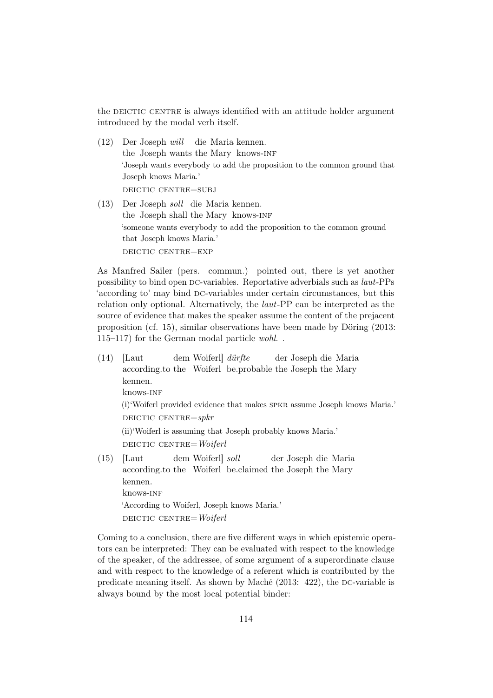the DEICTIC CENTRE is always identified with an attitude holder argument introduced by the modal verb itself.

- $(12)$ the Joseph wants the Mary knows-INF Joseph will die Maria kennen. 'Joseph wants everybody to add the proposition to the common ground that Joseph knows Maria.' deictic centre=subj
- (13) Der Joseph soll die Maria kennen. the Joseph shall the Mary knows-INF 'someone wants everybody to add the proposition to the common ground that Joseph knows Maria.' deictic centre=exp

As Manfred Sailer (pers. commun.) pointed out, there is yet another possibility to bind open DC-variables. Reportative adverbials such as laut-PPs 'according to' may bind DC-variables under certain circumstances, but this relation only optional. Alternatively, the laut-PP can be interpreted as the source of evidence that makes the speaker assume the content of the prejacent proposition (cf. 15), similar observations have been made by Döring (2013: 115–117) for the German modal particle wohl. .

(14) [Laut according.to the Woiferl be.probable the Joseph the Mary dem Woiferl] dürfte der Joseph die Maria kennen. knows-inf (i)'Woiferl provided evidence that makes spkr assume Joseph knows Maria.' DEICTIC CENTRE= $spkr$ (ii)'Woiferl is assuming that Joseph probably knows Maria.'  $\label{eq:2} \textsc{DECTIC} \xspace \textsc{centrRE} = \textsc{Woiferl}$  $(15)$  [Laut] according.to the Woiferl be.claimed the Joseph the Mary dem Woiferl] soli der Joseph die Maria kennen.

knows-inf 'According to Woiferl, Joseph knows Maria.' DEICTIC CENTRE= $Wojerl$ 

Coming to a conclusion, there are five different ways in which epistemic operators can be interpreted: They can be evaluated with respect to the knowledge of the speaker, of the addressee, of some argument of a superordinate clause and with respect to the knowledge of a referent which is contributed by the predicate meaning itself. As shown by Maché  $(2013: 422)$ , the DC-variable is always bound by the most local potential binder: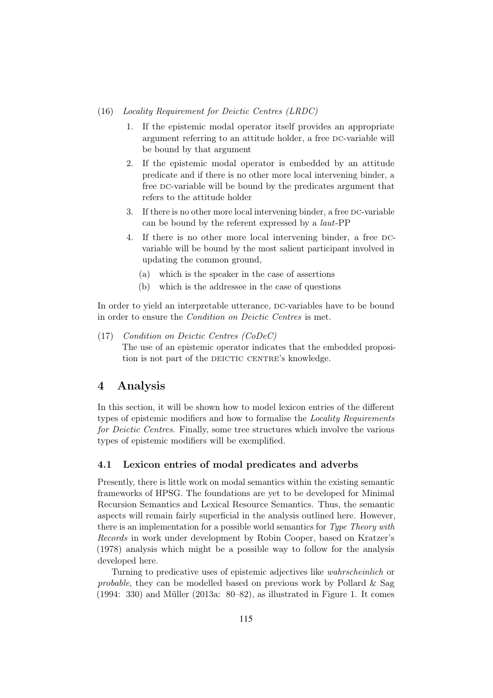#### (16) Locality Requirement for Deictic Centres (LRDC)

- 1. If the epistemic modal operator itself provides an appropriate argument referring to an attitude holder, a free DC-variable will be bound by that argument
- 2. If the epistemic modal operator is embedded by an attitude predicate and if there is no other more local intervening binder, a free DC-variable will be bound by the predicates argument that refers to the attitude holder
- 3. If there is no other more local intervening binder, a free DC-variable can be bound by the referent expressed by a laut-PP
- 4. If there is no other more local intervening binder, a free dcvariable will be bound by the most salient participant involved in updating the common ground,
	- (a) which is the speaker in the case of assertions
	- (b) which is the addressee in the case of questions

In order to yield an interpretable utterance, DC-variables have to be bound in order to ensure the Condition on Deictic Centres is met.

(17) Condition on Deictic Centres (CoDeC) The use of an epistemic operator indicates that the embedded proposition is not part of the DEICTIC CENTRE's knowledge.

## 4 Analysis

In this section, it will be shown how to model lexicon entries of the different types of epistemic modifiers and how to formalise the Locality Requirements for Deictic Centres. Finally, some tree structures which involve the various types of epistemic modifiers will be exemplified.

#### 4.1 Lexicon entries of modal predicates and adverbs

Presently, there is little work on modal semantics within the existing semantic frameworks of HPSG. The foundations are yet to be developed for Minimal Recursion Semantics and Lexical Resource Semantics. Thus, the semantic aspects will remain fairly superficial in the analysis outlined here. However, there is an implementation for a possible world semantics for Type Theory with Records in work under development by Robin Cooper, based on Kratzer's (1978) analysis which might be a possible way to follow for the analysis developed here.

Turning to predicative uses of epistemic adjectives like wahrscheinlich or probable, they can be modelled based on previous work by Pollard & Sag (1994: 330) and Müller (2013a: 80–82), as illustrated in Figure 1. It comes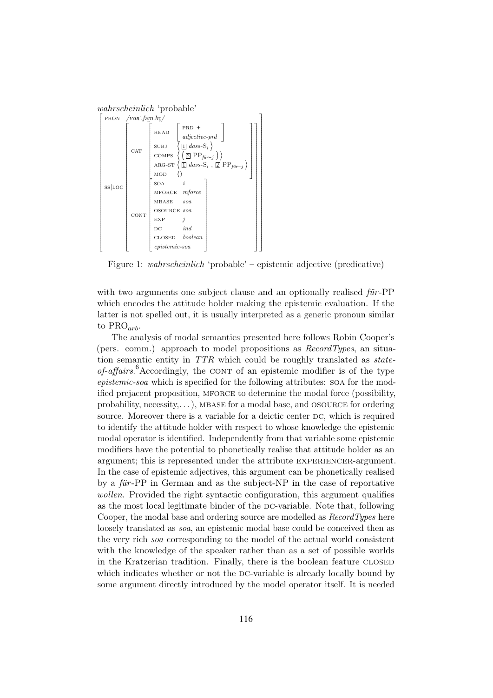

Figure 1: wahrscheinlich 'probable' – epistemic adjective (predicative)

with two arguments one subject clause and an optionally realised für-PP which encodes the attitude holder making the epistemic evaluation. If the latter is not spelled out, it is usually interpreted as a generic pronoun similar to  $PRO_{arb}$ .

The analysis of modal semantics presented here follows Robin Cooper's (pers. comm.) approach to model propositions as  $RecordTypes$ , an situation semantic entity in TTR which could be roughly translated as stateof-affairs.<sup>6</sup>Accordingly, the CONT of an epistemic modifier is of the type epistemic-soa which is specified for the following attributes: soa for the modified prejacent proposition, mforce to determine the modal force (possibility, probability, necessity, $\dots$ ), MBASE for a modal base, and OSOURCE for ordering source. Moreover there is a variable for a deictic center DC, which is required to identify the attitude holder with respect to whose knowledge the epistemic modal operator is identified. Independently from that variable some epistemic modifiers have the potential to phonetically realise that attitude holder as an argument; this is represented under the attribute EXPERIENCER-argument. In the case of epistemic adjectives, this argument can be phonetically realised by a für -PP in German and as the subject-NP in the case of reportative wollen. Provided the right syntactic configuration, this argument qualifies as the most local legitimate binder of the DC-variable. Note that, following Cooper, the modal base and ordering source are modelled as  $RecordTypes$  here loosely translated as *soa*, an epistemic modal base could be conceived then as the very rich soa corresponding to the model of the actual world consistent with the knowledge of the speaker rather than as a set of possible worlds in the Kratzerian tradition. Finally, there is the boolean feature CLOSED which indicates whether or not the DC-variable is already locally bound by some argument directly introduced by the model operator itself. It is needed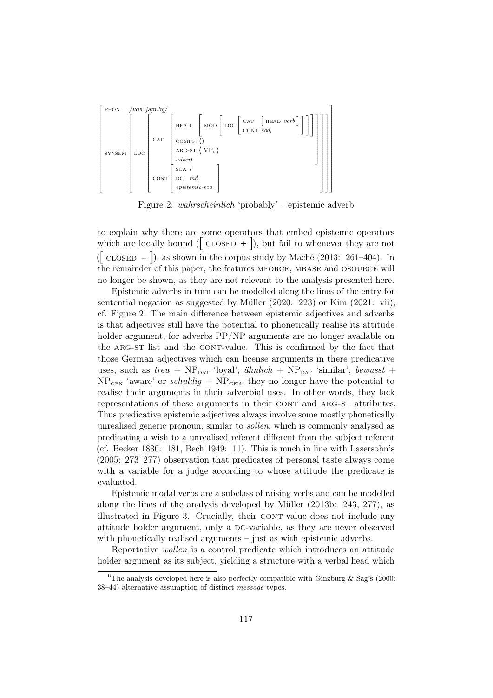

Figure 2: wahrscheinlich 'probably' – epistemic adverb

to explain why there are some operators that embed epistemic operators which are locally bound ( $\lceil$  CLOSED +  $\rceil$ ), but fail to whenever they are not ( $\lceil$  CLOSED  $-$  ), as shown in the corpus study by Maché (2013: 261–404). In the remainder of this paper, the features mforce, mbase and osource will no longer be shown, as they are not relevant to the analysis presented here.

Epistemic adverbs in turn can be modelled along the lines of the entry for sentential negation as suggested by Müller (2020: 223) or Kim (2021: vii), cf. Figure 2. The main difference between epistemic adjectives and adverbs is that adjectives still have the potential to phonetically realise its attitude holder argument, for adverbs PP/NP arguments are no longer available on the ARG-ST list and the CONT-value. This is confirmed by the fact that those German adjectives which can license arguments in there predicative uses, such as  $tree + NP<sub>part</sub>$  'loyal',  $\ddot{a}hnlich + NP<sub>part</sub>$  'similar', bewusst +  $NP<sub>GEN</sub>$  'aware' or schuldig +  $NP<sub>GEN</sub>$ , they no longer have the potential to realise their arguments in their adverbial uses. In other words, they lack representations of these arguments in their CONT and ARG-ST attributes. Thus predicative epistemic adjectives always involve some mostly phonetically unrealised generic pronoun, similar to sollen, which is commonly analysed as predicating a wish to a unrealised referent different from the subject referent (cf. Becker 1836: 181, Bech 1949: 11). This is much in line with Lasersohn's (2005: 273–277) observation that predicates of personal taste always come with a variable for a judge according to whose attitude the predicate is evaluated.

Epistemic modal verbs are a subclass of raising verbs and can be modelled along the lines of the analysis developed by Müller (2013b: 243, 277), as illustrated in Figure 3. Crucially, their CONT-value does not include any attitude holder argument, only a DC-variable, as they are never observed with phonetically realised arguments – just as with epistemic adverbs.

Reportative wollen is a control predicate which introduces an attitude holder argument as its subject, yielding a structure with a verbal head which

<sup>&</sup>lt;sup>6</sup>The analysis developed here is also perfectly compatible with Ginzburg & Sag's (2000: 38–44) alternative assumption of distinct message types.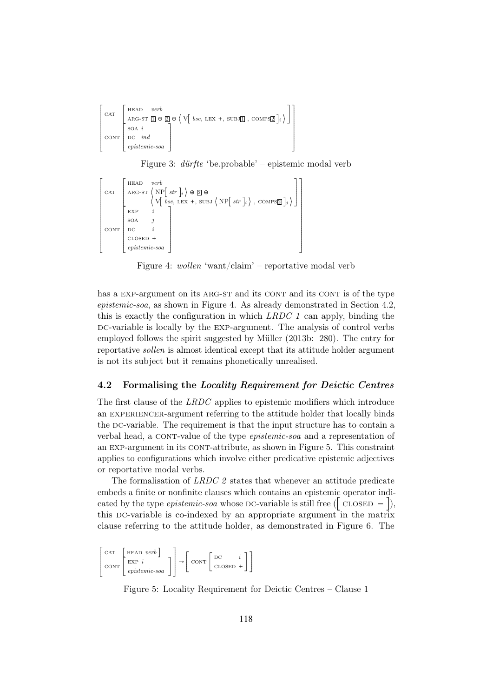```
CAT \begin{array}{|c|c|c|c|c|}\n\hline\n\text{CAT} & \text{HEAD} & \text{verb} \\
\text{ARG-ST} & \text{A} & \text{ABG-ST} & \text{A}\n\end{array}⎢⎢⎢⎢⎢⎢⎢⎢⎢⎢⎢⎢⎢⎢⎢⎢⎢⎢⎢⎢⎢
⎣
                                                          \text{ARG-ST} \quad \text{if} \quad \text{if} \quad \text{if} \quad \text{if} \quad \text{if} \quad \text{if} \quad \text{if} \quad \text{if} \quad \text{if} \quad \text{if} \quad \text{if} \quad \text{if} \quad \text{if} \quad \text{if} \quad \text{if} \quad \text{if} \quad \text{if} \quad \text{if} \quad \text{if} \quad \text{if} \quad \text{if} \quad \text{if} \quad \text{if} \quad \text{if} \quad \text{if} \quad \text{if} \quad \text{if} \quad \text{if} \quad \text{if} \quad \text{if} \quad \CONT
                                                ⎡
soa i
                                                ⎢⎢⎢⎢⎢⎢⎢⎢⎢⎢⎢
                                                ⎣
                                                          \mathrm{DC} ind
                                                          epistemic-soa
                                                                                                                                               \pm\blacksquare⎦
                                                                                                                                                                                                                                                                                                                                                                                                                   \overline{\phantom{a}}⎥⎥⎥⎥⎥⎥⎥⎥⎥⎥⎥⎥⎥⎥⎥⎥⎥⎥⎥⎥⎥
                                                                                                                                                                                                                                                                                                                                                                                                                   ⎦
```
Figure 3: dürfte 'be.probable' – epistemic modal verb

```
\mathbf{L}⎢⎢⎢⎢⎢⎢⎢⎢⎢⎢⎢⎢⎢⎢⎢⎢⎢⎢⎢⎢⎢⎢⎢⎢⎢⎢⎢⎢⎢⎢⎢⎢⎢⎢⎢⎢
⎣
     CAT\mathbf{L}⎢⎢⎢⎢⎢⎢⎢⎢⎢⎢⎢
                        ⎣
                             HEAD verb
                             ARG-ST \left\langle \text{ NP} \left[ \text{ str} \right]_i \right\rangle \oplus \boxed{2} \oplus\langle V[\overrightarrow{bse}, \overrightarrow{LEX} +, \overrightarrow{SUB}]\rangle \langle NP[\overrightarrow{str}]_i \rangle, COMPS[2]_j \rangle\mathbf{I}⎥⎥⎥⎥⎥⎥⎥⎥⎥⎥⎥
                                                                                                                                                                                                               ⎦
     CONT
                        \begin{tabular}{lllll} \bf{EXP} & \it i \end{tabular}⎢⎢⎢⎢⎢⎢⎢⎢⎢⎢⎢⎢⎢⎢⎢⎢⎢⎢⎢⎢⎢
                        ⎣
                             \text{SOA} j
                             DC i
                             closed +
                             epistemic-soa
                                                                        \pm⎥⎥⎥⎥⎥⎥⎥⎥⎥⎥⎥⎥⎥⎥⎥⎥⎥⎥⎥⎥⎥
                                                                        ⎦
                                                                                                                                                                                                                    \overline{\phantom{a}}⎥⎥⎥⎥⎥⎥⎥⎥⎥⎥⎥⎥⎥⎥⎥⎥⎥⎥⎥⎥⎥⎥⎥⎥⎥⎥⎥⎥⎥⎥⎥⎥⎥⎥⎥⎥
                                                                                                                                                                                                                    ⎦
```
Figure 4: wollen 'want/claim' – reportative modal verb

has a EXP-argument on its ARG-ST and its CONT and its CONT is of the type epistemic-soa, as shown in Figure 4. As already demonstrated in Section 4.2, this is exactly the configuration in which  $LRDC$  1 can apply, binding the dc-variable is locally by the exp-argument. The analysis of control verbs employed follows the spirit suggested by Müller (2013b: 280). The entry for reportative sollen is almost identical except that its attitude holder argument is not its subject but it remains phonetically unrealised.

#### 4.2 Formalising the Locality Requirement for Deictic Centres

The first clause of the LRDC applies to epistemic modifiers which introduce an EXPERIENCER-argument referring to the attitude holder that locally binds the dc-variable. The requirement is that the input structure has to contain a verbal head, a CONT-value of the type *epistemic-soa* and a representation of an EXP-argument in its CONT-attribute, as shown in Figure 5. This constraint applies to configurations which involve either predicative epistemic adjectives or reportative modal verbs.

The formalisation of *LRDC* 2 states that whenever an attitude predicate embeds a finite or nonfinite clauses which contains an epistemic operator indicated by the type *epistemic-soa* whose DC-variable is still free ( $\vert$  CLOSED  $- \vert$ ), this DC-variable is co-indexed by an appropriate argument in the matrix clause referring to the attitude holder, as demonstrated in Figure 6. The

 $\begin{bmatrix} \text{CAT} & \text{[HEAD verb]} \end{bmatrix}$ ⎢⎢⎢⎢⎢⎢⎢⎢⎢⎢⎢⎢ ⎣  $\begin{array}{c|c}\n\text{CONT} & \text{EXP} i \\
\hline\n\end{array}$ epistemic-soa ]  $\overline{1}$  $\blacksquare$ ⎦  $\rightarrow$  $\begin{array}{c|c}\n\text{CONT} & \text{DC} & i \\
\text{CLosen} & \text{CLOSED} & \text{N.}\n\end{array}$  $\text{closed } +$ 

Figure 5: Locality Requirement for Deictic Centres – Clause 1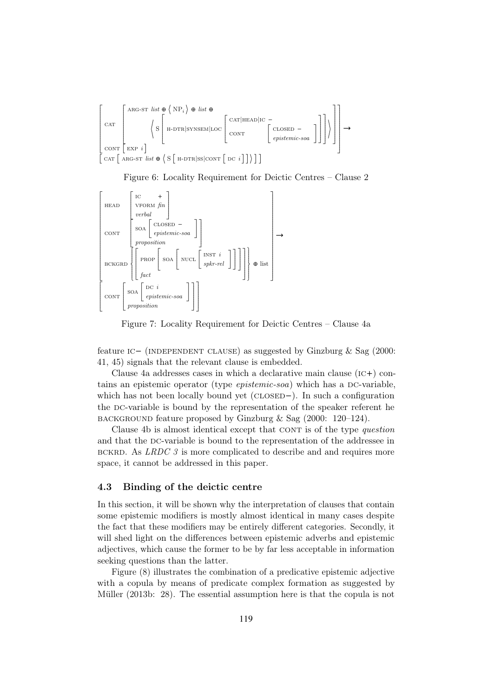

Figure 6: Locality Requirement for Deictic Centres – Clause 2



Figure 7: Locality Requirement for Deictic Centres – Clause 4a

feature ic− (independent clause) as suggested by Ginzburg & Sag (2000: 41, 45) signals that the relevant clause is embedded.

Clause 4a addresses cases in which a declarative main clause  $(IC<sup>+</sup>)$  contains an epistemic operator (type  $epistemic-soa$ ) which has a DC-variable, which has not been locally bound yet (CLOSED−). In such a configuration the DC-variable is bound by the representation of the speaker referent he BACKGROUND feature proposed by Ginzburg & Sag (2000: 120–124).

Clause 4b is almost identical except that CONT is of the type *question* and that the DC-variable is bound to the representation of the addressee in bckrd. As LRDC 3 is more complicated to describe and and requires more space, it cannot be addressed in this paper.

#### 4.3 Binding of the deictic centre

In this section, it will be shown why the interpretation of clauses that contain some epistemic modifiers is mostly almost identical in many cases despite the fact that these modifiers may be entirely different categories. Secondly, it will shed light on the differences between epistemic adverbs and epistemic adjectives, which cause the former to be by far less acceptable in information seeking questions than the latter.

Figure (8) illustrates the combination of a predicative epistemic adjective with a copula by means of predicate complex formation as suggested by Müller (2013b: 28). The essential assumption here is that the copula is not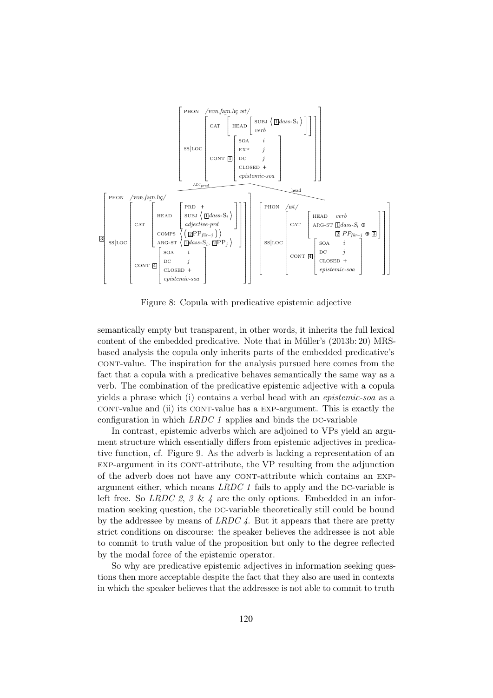

Figure 8: Copula with predicative epistemic adjective

semantically empty but transparent, in other words, it inherits the full lexical content of the embedded predicative. Note that in Müller's (2013b: 20) MRSbased analysis the copula only inherits parts of the embedded predicative's cont-value. The inspiration for the analysis pursued here comes from the fact that a copula with a predicative behaves semantically the same way as a verb. The combination of the predicative epistemic adjective with a copula yields a phrase which (i) contains a verbal head with an epistemic-soa as a cont-value and (ii) its cont-value has a exp-argument. This is exactly the configuration in which  $LRDC$  1 applies and binds the DC-variable

In contrast, epistemic adverbs which are adjoined to VPs yield an argument structure which essentially differs from epistemic adjectives in predicative function, cf. Figure 9. As the adverb is lacking a representation of an EXP-argument in its CONT-attribute, the VP resulting from the adjunction of the adverb does not have any CONT-attribute which contains an EXPargument either, which means  $LRDC$  1 fails to apply and the DC-variable is left free. So *LRDC* 2, 3 & 4 are the only options. Embedded in an information seeking question, the DC-variable theoretically still could be bound by the addressee by means of  $LRDC$  4. But it appears that there are pretty strict conditions on discourse: the speaker believes the addressee is not able to commit to truth value of the proposition but only to the degree reflected by the modal force of the epistemic operator.

So why are predicative epistemic adjectives in information seeking questions then more acceptable despite the fact that they also are used in contexts in which the speaker believes that the addressee is not able to commit to truth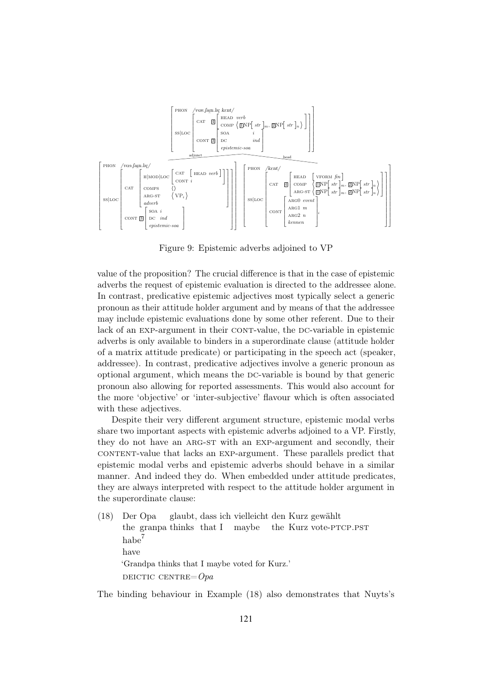

Figure 9: Epistemic adverbs adjoined to VP

value of the proposition? The crucial difference is that in the case of epistemic adverbs the request of epistemic evaluation is directed to the addressee alone. In contrast, predicative epistemic adjectives most typically select a generic pronoun as their attitude holder argument and by means of that the addressee may include epistemic evaluations done by some other referent. Due to their lack of an EXP-argument in their CONT-value, the DC-variable in epistemic adverbs is only available to binders in a superordinate clause (attitude holder of a matrix attitude predicate) or participating in the speech act (speaker, addressee). In contrast, predicative adjectives involve a generic pronoun as optional argument, which means the DC-variable is bound by that generic pronoun also allowing for reported assessments. This would also account for the more 'objective' or 'inter-subjective' flavour which is often associated with these adjectives.

Despite their very different argument structure, epistemic modal verbs share two important aspects with epistemic adverbs adjoined to a VP. Firstly, they do not have an ARG-ST with an EXP-argument and secondly, their content-value that lacks an exp-argument. These parallels predict that epistemic modal verbs and epistemic adverbs should behave in a similar manner. And indeed they do. When embedded under attitude predicates, they are always interpreted with respect to the attitude holder argument in the superordinate clause:

 $(18)$ the granpa thinks that I maybe Der Opa glaubt, dass ich vielleicht den Kurz gewählt the Kurz vote-PTCP.PST habe<sup>7</sup> have 'Grandpa thinks that I maybe voted for Kurz.' DEICTIC CENTRE= $Opa$ 

The binding behaviour in Example (18) also demonstrates that Nuyts's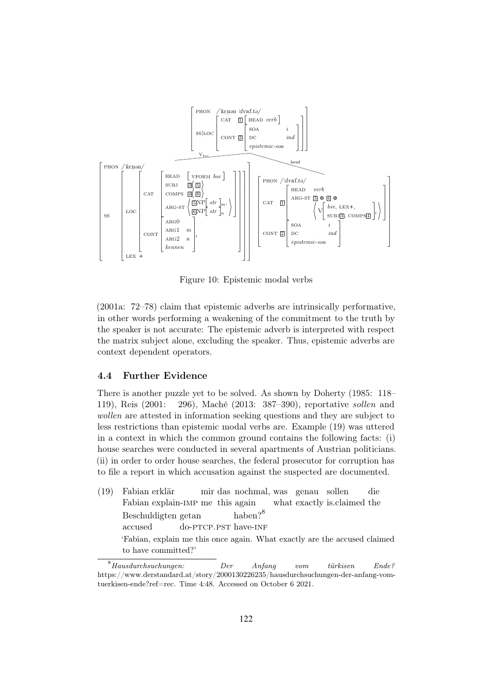

Figure 10: Epistemic modal verbs

(2001a: 72–78) claim that epistemic adverbs are intrinsically performative, in other words performing a weakening of the commitment to the truth by the speaker is not accurate: The epistemic adverb is interpreted with respect the matrix subject alone, excluding the speaker. Thus, epistemic adverbs are context dependent operators.

#### 4.4 Further Evidence

There is another puzzle yet to be solved. As shown by Doherty (1985: 118– 119), Reis (2001: 296), Maché (2013: 387–390), reportative sollen and wollen are attested in information seeking questions and they are subject to less restrictions than epistemic modal verbs are. Example (19) was uttered in a context in which the common ground contains the following facts: (i) house searches were conducted in several apartments of Austrian politicians. (ii) in order to order house searches, the federal prosecutor for corruption has to file a report in which accusation against the suspected are documented.

(19) Fabian erklär Fabian explain-IMP me this again mir das nochmal, was genau sollen what exactly is.claimed the die Beschuldigten getan accused do-ptcp.pst have-inf haben?<sup>8</sup> 'Fabian, explain me this once again. What exactly are the accused claimed to have committed?'

 ${}^{8}$ Hausdurchsuchungen: Der Anfang vom türkisen Ende? https://www.derstandard.at/story/2000130226235/hausdurchsuchungen-der-anfang-vomtuerkisen-ende?ref=rec. Time 4:48. Accessed on October 6 2021.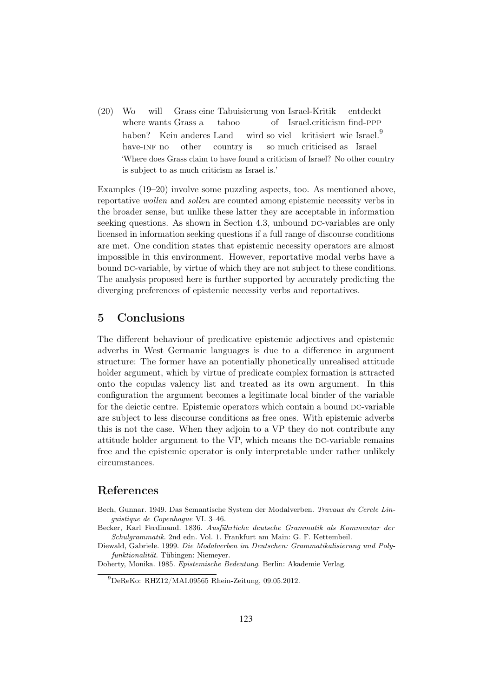(20) Wo where wants Grass a will Grass eine Tabuisierung von Israel-Kritik taboo of Israel.criticism find-ppp entdeckt haben? Kein anderes Land have-inf no other country is wird so viel kritisiert wie Israel.<sup>9</sup> so much criticised as Israel 'Where does Grass claim to have found a criticism of Israel? No other country is subject to as much criticism as Israel is.'

Examples (19–20) involve some puzzling aspects, too. As mentioned above, reportative wollen and sollen are counted among epistemic necessity verbs in the broader sense, but unlike these latter they are acceptable in information seeking questions. As shown in Section 4.3, unbound  $DC$ -variables are only licensed in information seeking questions if a full range of discourse conditions are met. One condition states that epistemic necessity operators are almost impossible in this environment. However, reportative modal verbs have a bound DC-variable, by virtue of which they are not subject to these conditions. The analysis proposed here is further supported by accurately predicting the diverging preferences of epistemic necessity verbs and reportatives.

## 5 Conclusions

The different behaviour of predicative epistemic adjectives and epistemic adverbs in West Germanic languages is due to a difference in argument structure: The former have an potentially phonetically unrealised attitude holder argument, which by virtue of predicate complex formation is attracted onto the copulas valency list and treated as its own argument. In this configuration the argument becomes a legitimate local binder of the variable for the deictic centre. Epistemic operators which contain a bound DC-variable are subject to less discourse conditions as free ones. With epistemic adverbs this is not the case. When they adjoin to a VP they do not contribute any attitude holder argument to the VP, which means the DC-variable remains free and the epistemic operator is only interpretable under rather unlikely circumstances.

## References

- Bech, Gunnar. 1949. Das Semantische System der Modalverben. Travaux du Cercle Linguistique de Copenhague VI. 3–46.
- Becker, Karl Ferdinand. 1836. Ausführliche deutsche Grammatik als Kommentar der Schulgrammatik. 2nd edn. Vol. 1. Frankfurt am Main: G. F. Kettembeil.

Doherty, Monika. 1985. Epistemische Bedeutung. Berlin: Akademie Verlag.

Diewald, Gabriele. 1999. Die Modalverben im Deutschen: Grammatikalisierung und Polyfunktionalität. Tübingen: Niemeyer.

 $^{9}$ DeReKo: RHZ12/MAI.09565 Rhein-Zeitung, 09.05.2012.